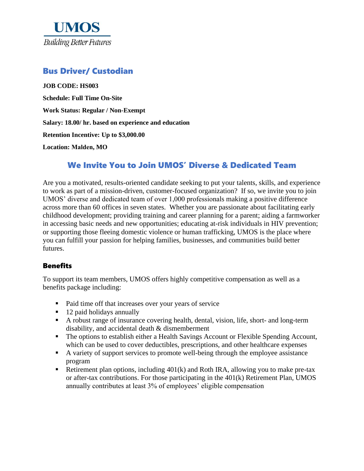

## Bus Driver/ Custodian

**JOB CODE: HS003 Schedule: Full Time On-Site Work Status: Regular / Non-Exempt Salary: 18.00/ hr. based on experience and education Retention Incentive: Up to \$3,000.00 Location: Malden, MO** 

## We Invite You to Join UMOS' Diverse & Dedicated Team

Are you a motivated, results-oriented candidate seeking to put your talents, skills, and experience to work as part of a mission-driven, customer-focused organization? If so, we invite you to join UMOS' diverse and dedicated team of over 1,000 professionals making a positive difference across more than 60 offices in seven states. Whether you are passionate about facilitating early childhood development; providing training and career planning for a parent; aiding a farmworker in accessing basic needs and new opportunities; educating at-risk individuals in HIV prevention; or supporting those fleeing domestic violence or human trafficking, UMOS is the place where you can fulfill your passion for helping families, businesses, and communities build better futures.

#### Benefits

To support its team members, UMOS offers highly competitive compensation as well as a benefits package including:

- Paid time off that increases over your years of service
- 12 paid holidays annually
- A robust range of insurance covering health, dental, vision, life, short- and long-term disability, and accidental death & dismemberment
- The options to establish either a Health Savings Account or Flexible Spending Account, which can be used to cover deductibles, prescriptions, and other healthcare expenses
- A variety of support services to promote well-being through the employee assistance program
- **•** Retirement plan options, including  $401(k)$  and Roth IRA, allowing you to make pre-tax or after-tax contributions. For those participating in the  $401(k)$  Retirement Plan, UMOS annually contributes at least 3% of employees' eligible compensation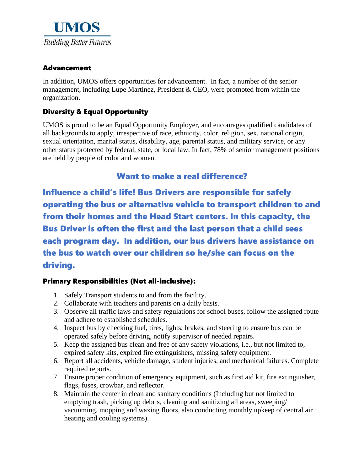

### Advancement

In addition, UMOS offers opportunities for advancement. In fact, a number of the senior management, including Lupe Martinez, President & CEO, were promoted from within the organization.

## Diversity & Equal Opportunity

UMOS is proud to be an Equal Opportunity Employer, and encourages qualified candidates of all backgrounds to apply, irrespective of race, ethnicity, color, religion, sex, national origin, sexual orientation, marital status, disability, age, parental status, and military service, or any other status protected by federal, state, or local law. In fact, 78% of senior management positions are held by people of color and women.

# Want to make a real difference?

Influence a child's life! Bus Drivers are responsible for safely operating the bus or alternative vehicle to transport children to and from their homes and the Head Start centers. In this capacity, the Bus Driver is often the first and the last person that a child sees each program day. In addition, our bus drivers have assistance on the bus to watch over our children so he/she can focus on the driving.

### Primary Responsibilities (Not all-inclusive):

- 1. Safely Transport students to and from the facility.
- 2. Collaborate with teachers and parents on a daily basis.
- 3. Observe all traffic laws and safety regulations for school buses, follow the assigned route and adhere to established schedules.
- 4. Inspect bus by checking fuel, tires, lights, brakes, and steering to ensure bus can be operated safely before driving, notify supervisor of needed repairs.
- 5. Keep the assigned bus clean and free of any safety violations, i.e., but not limited to, expired safety kits, expired fire extinguishers, missing safety equipment.
- 6. Report all accidents, vehicle damage, student injuries, and mechanical failures. Complete required reports.
- 7. Ensure proper condition of emergency equipment, such as first aid kit, fire extinguisher, flags, fuses, crowbar, and reflector.
- 8. Maintain the center in clean and sanitary conditions (Including but not limited to emptying trash, picking up debris, cleaning and sanitizing all areas, sweeping/ vacuuming, mopping and waxing floors, also conducting monthly upkeep of central air heating and cooling systems).